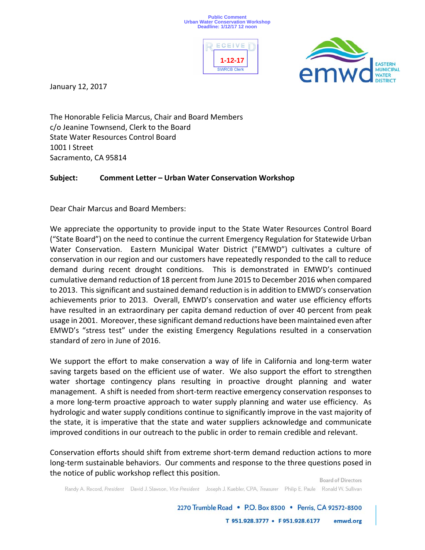



January 12, 2017

The Honorable Felicia Marcus, Chair and Board Members c/o Jeanine Townsend, Clerk to the Board State Water Resources Control Board 1001 I Street Sacramento, CA 95814

## **Subject: Comment Letter – Urban Water Conservation Workshop**

Dear Chair Marcus and Board Members:

We appreciate the opportunity to provide input to the State Water Resources Control Board ("State Board") on the need to continue the current Emergency Regulation for Statewide Urban Water Conservation. Eastern Municipal Water District ("EMWD") cultivates a culture of conservation in our region and our customers have repeatedly responded to the call to reduce demand during recent drought conditions. This is demonstrated in EMWD's continued cumulative demand reduction of 18 percent from June 2015 to December 2016 when compared to 2013. This significant and sustained demand reduction is in addition to EMWD's conservation achievements prior to 2013. Overall, EMWD's conservation and water use efficiency efforts have resulted in an extraordinary per capita demand reduction of over 40 percent from peak usage in 2001. Moreover, these significant demand reductions have been maintained even after EMWD's "stress test" under the existing Emergency Regulations resulted in a conservation standard of zero in June of 2016.

We support the effort to make conservation a way of life in California and long-term water saving targets based on the efficient use of water. We also support the effort to strengthen water shortage contingency plans resulting in proactive drought planning and water management. A shift is needed from short-term reactive emergency conservation responses to a more long‐term proactive approach to water supply planning and water use efficiency. As hydrologic and water supply conditions continue to significantly improve in the vast majority of the state, it is imperative that the state and water suppliers acknowledge and communicate improved conditions in our outreach to the public in order to remain credible and relevant.

Conservation efforts should shift from extreme short‐term demand reduction actions to more long-term sustainable behaviors. Our comments and response to the three questions posed in the notice of public workshop reflect this position.

T 951.928.3777 · F 951.928.6177 emwd.org

**Board of Directors**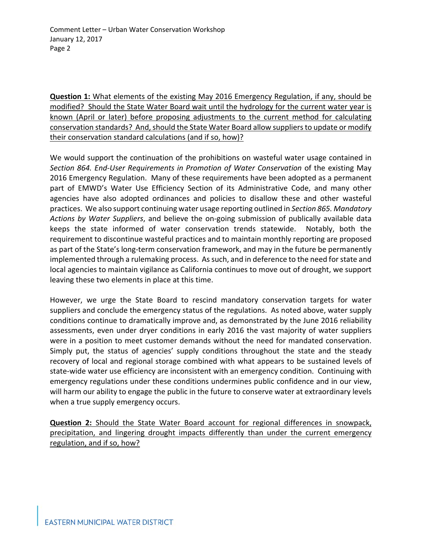**Question 1:** What elements of the existing May 2016 Emergency Regulation, if any, should be modified? Should the State Water Board wait until the hydrology for the current water year is known (April or later) before proposing adjustments to the current method for calculating conservation standards? And, should the State Water Board allow suppliers to update or modify their conservation standard calculations (and if so, how)?

We would support the continuation of the prohibitions on wasteful water usage contained in *Section 864. End‐User Requirements in Promotion of Water Conservation* of the existing May 2016 Emergency Regulation. Many of these requirements have been adopted as a permanent part of EMWD's Water Use Efficiency Section of its Administrative Code, and many other agencies have also adopted ordinances and policies to disallow these and other wasteful practices. We also support continuing water usage reporting outlined in *Section 865. Mandatory Actions by Water Suppliers*, and believe the on‐going submission of publically available data keeps the state informed of water conservation trends statewide. Notably, both the requirement to discontinue wasteful practices and to maintain monthly reporting are proposed as part of the State's long-term conservation framework, and may in the future be permanently implemented through a rulemaking process. As such, and in deference to the need for state and local agencies to maintain vigilance as California continues to move out of drought, we support leaving these two elements in place at this time.

However, we urge the State Board to rescind mandatory conservation targets for water suppliers and conclude the emergency status of the regulations. As noted above, water supply conditions continue to dramatically improve and, as demonstrated by the June 2016 reliability assessments, even under dryer conditions in early 2016 the vast majority of water suppliers were in a position to meet customer demands without the need for mandated conservation. Simply put, the status of agencies' supply conditions throughout the state and the steady recovery of local and regional storage combined with what appears to be sustained levels of state-wide water use efficiency are inconsistent with an emergency condition. Continuing with emergency regulations under these conditions undermines public confidence and in our view, will harm our ability to engage the public in the future to conserve water at extraordinary levels when a true supply emergency occurs.

**Question 2:** Should the State Water Board account for regional differences in snowpack, precipitation, and lingering drought impacts differently than under the current emergency regulation, and if so, how?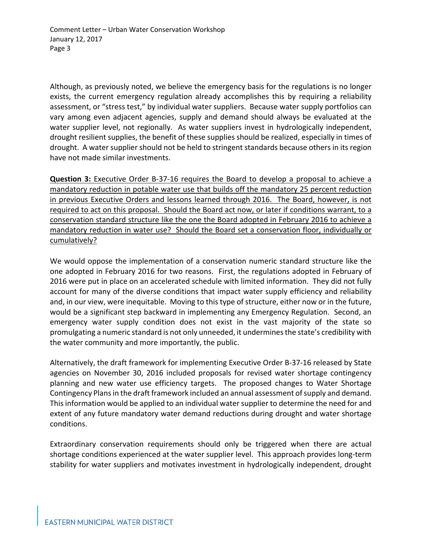Although, as previously noted, we believe the emergency basis for the regulations is no longer exists, the current emergency regulation already accomplishes this by requiring a reliability assessment, or "stress test," by individual water suppliers. Because water supply portfolios can vary among even adjacent agencies, supply and demand should always be evaluated at the water supplier level, not regionally. As water suppliers invest in hydrologically independent, drought resilient supplies, the benefit of these supplies should be realized, especially in times of drought. A water supplier should not be held to stringent standards because others in its region have not made similar investments.

**Question 3:** Executive Order B-37-16 requires the Board to develop a proposal to achieve a mandatory reduction in potable water use that builds off the mandatory 25 percent reduction in previous Executive Orders and lessons learned through 2016. The Board, however, is not required to act on this proposal. Should the Board act now, or later if conditions warrant, to a conservation standard structure like the one the Board adopted in February 2016 to achieve a mandatory reduction in water use? Should the Board set a conservation floor, individually or cumulatively?

We would oppose the implementation of a conservation numeric standard structure like the one adopted in February 2016 for two reasons. First, the regulations adopted in February of 2016 were put in place on an accelerated schedule with limited information. They did not fully account for many of the diverse conditions that impact water supply efficiency and reliability and, in our view, were inequitable. Moving to this type of structure, either now or in the future, would be a significant step backward in implementing any Emergency Regulation. Second, an emergency water supply condition does not exist in the vast majority of the state so promulgating a numeric standard is not only unneeded, it underminesthe state's credibility with the water community and more importantly, the public.

Alternatively, the draft framework for implementing Executive Order B‐37‐16 released by State agencies on November 30, 2016 included proposals for revised water shortage contingency planning and new water use efficiency targets. The proposed changes to Water Shortage Contingency Plans in the draft framework included an annual assessment of supply and demand. This information would be applied to an individual water supplier to determine the need for and extent of any future mandatory water demand reductions during drought and water shortage conditions.

Extraordinary conservation requirements should only be triggered when there are actual shortage conditions experienced at the water supplier level. This approach provides long‐term stability for water suppliers and motivates investment in hydrologically independent, drought